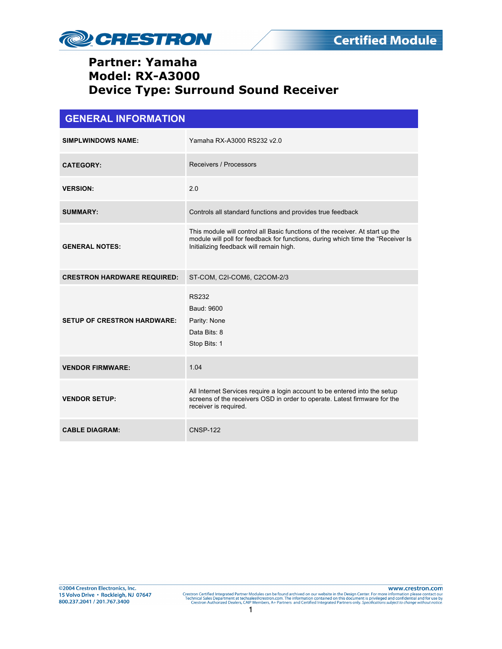

| <b>GENERAL INFORMATION</b>         |                                                                                                                                                                                                             |  |
|------------------------------------|-------------------------------------------------------------------------------------------------------------------------------------------------------------------------------------------------------------|--|
| <b>SIMPLWINDOWS NAME:</b>          | Yamaha RX-A3000 RS232 v2.0                                                                                                                                                                                  |  |
| <b>CATEGORY:</b>                   | Receivers / Processors                                                                                                                                                                                      |  |
| <b>VERSION:</b>                    | 2.0                                                                                                                                                                                                         |  |
| <b>SUMMARY:</b>                    | Controls all standard functions and provides true feedback                                                                                                                                                  |  |
| <b>GENERAL NOTES:</b>              | This module will control all Basic functions of the receiver. At start up the<br>module will poll for feedback for functions, during which time the "Receiver Is<br>Initializing feedback will remain high. |  |
| <b>CRESTRON HARDWARE REQUIRED:</b> | ST-COM, C2I-COM6, C2COM-2/3                                                                                                                                                                                 |  |
| <b>SETUP OF CRESTRON HARDWARE:</b> | <b>RS232</b><br>Baud: 9600<br>Parity: None<br>Data Bits: 8<br>Stop Bits: 1                                                                                                                                  |  |
| <b>VENDOR FIRMWARE:</b>            | 1.04                                                                                                                                                                                                        |  |
| <b>VENDOR SETUP:</b>               | All Internet Services require a login account to be entered into the setup<br>screens of the receivers OSD in order to operate. Latest firmware for the<br>receiver is required.                            |  |
| <b>CABLE DIAGRAM:</b>              | <b>CNSP-122</b>                                                                                                                                                                                             |  |

www.crestron.com Crestron Certified Integrated Partner Modules can be found archived on our website in the Design Center. For more information please contact our Technical Sales Department at techsales®crestron.com. The information contain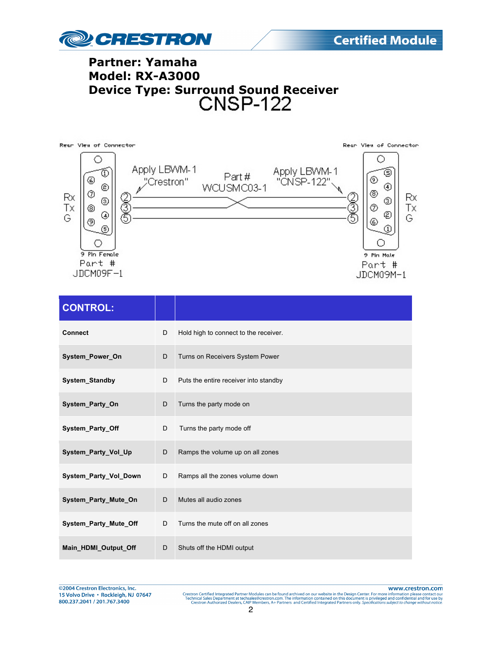



| <b>CONTROL:</b>       |   |                                       |
|-----------------------|---|---------------------------------------|
| <b>Connect</b>        | D | Hold high to connect to the receiver. |
| System_Power_On       | D | Turns on Receivers System Power       |
| System_Standby        | D | Puts the entire receiver into standby |
| System Party On       | D | Turns the party mode on               |
| System_Party_Off      | D | Turns the party mode off              |
| System Party Vol Up   | D | Ramps the volume up on all zones      |
| System_Party_Vol_Down | D | Ramps all the zones volume down       |
| System Party Mute On  | D | Mutes all audio zones                 |
| System_Party_Mute_Off | D | Turns the mute off on all zones       |
| Main HDMI Output Off  | D | Shuts off the HDMI output             |

@2004 Crestron Electronics, Inc. 15 Volvo Drive · Rockleigh, NJ 07647 800.237.2041 / 201.767.3400

www.crestron.com Crestron Certified Integrated Partner Modules can be found archived on our website in the Design Center. For more information please contact our Technical Sales Department at techsales®crestron.com. The information contain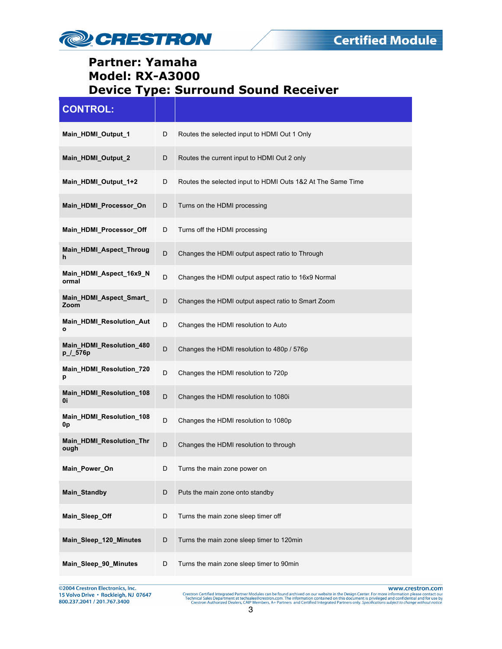

| <b>CONTROL:</b>                      |   |                                                             |
|--------------------------------------|---|-------------------------------------------------------------|
| Main_HDMI_Output_1                   | D | Routes the selected input to HDMI Out 1 Only                |
| Main_HDMI_Output_2                   | D | Routes the current input to HDMI Out 2 only                 |
| Main_HDMI_Output_1+2                 | D | Routes the selected input to HDMI Outs 1&2 At The Same Time |
| Main_HDMI_Processor_On               | D | Turns on the HDMI processing                                |
| Main_HDMI_Processor_Off              | D | Turns off the HDMI processing                               |
| Main_HDMI_Aspect_Throug<br>h         | D | Changes the HDMI output aspect ratio to Through             |
| Main HDMI Aspect 16x9 N<br>ormal     | D | Changes the HDMI output aspect ratio to 16x9 Normal         |
| Main_HDMI_Aspect_Smart_<br>Zoom      | D | Changes the HDMI output aspect ratio to Smart Zoom          |
| Main_HDMI_Resolution_Aut<br>o        | D | Changes the HDMI resolution to Auto                         |
| Main_HDMI_Resolution_480<br>p_/_576p | D | Changes the HDMI resolution to 480p / 576p                  |
| Main_HDMI_Resolution_720<br>р        | D | Changes the HDMI resolution to 720p                         |
| Main_HDMI_Resolution_108<br>0i       | D | Changes the HDMI resolution to 1080i                        |
| Main_HDMI_Resolution_108<br>0p       | D | Changes the HDMI resolution to 1080p                        |
| Main_HDMI_Resolution_Thr<br>ough     | D | Changes the HDMI resolution to through                      |
| Main_Power_On                        | D | Turns the main zone power on                                |
| Main_Standby                         | D | Puts the main zone onto standby                             |
| Main_Sleep_Off                       | D | Turns the main zone sleep timer off                         |
| Main_Sleep_120_Minutes               | D | Turns the main zone sleep timer to 120min                   |
| Main_Sleep_90_Minutes                | D | Turns the main zone sleep timer to 90min                    |

@2004 Crestron Electronics, Inc. 15 Volvo Drive · Rockleigh, NJ 07647 800.237.2041 / 201.767.3400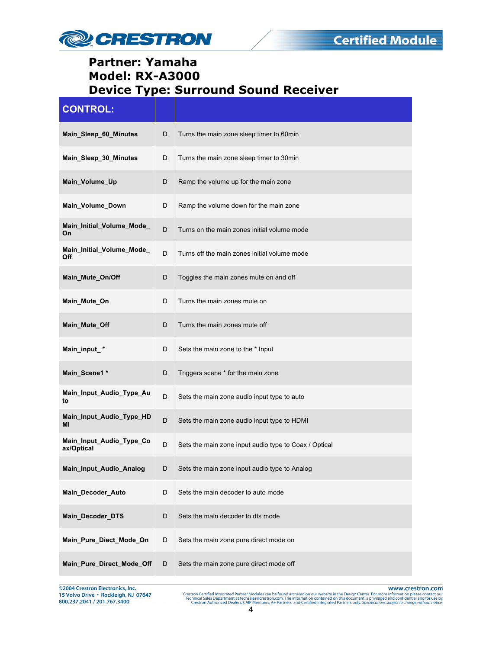

| <b>CONTROL:</b>                        |   |                                                       |
|----------------------------------------|---|-------------------------------------------------------|
| Main_Sleep_60_Minutes                  | D | Turns the main zone sleep timer to 60min              |
| Main_Sleep_30_Minutes                  | D | Turns the main zone sleep timer to 30min              |
| Main_Volume_Up                         | D | Ramp the volume up for the main zone                  |
| Main Volume Down                       | D | Ramp the volume down for the main zone                |
| Main_Initial_Volume_Mode_<br>On        | D | Turns on the main zones initial volume mode           |
| Main_Initial_Volume_Mode_<br>Off       | D | Turns off the main zones initial volume mode          |
| Main_Mute_On/Off                       | D | Toggles the main zones mute on and off                |
| Main_Mute_On                           | D | Turns the main zones mute on                          |
| Main_Mute_Off                          | D | Turns the main zones mute off                         |
| Main_input_*                           | D | Sets the main zone to the * Input                     |
| Main_Scene1 *                          | D | Triggers scene * for the main zone                    |
| Main_Input_Audio_Type_Au<br>to         | D | Sets the main zone audio input type to auto           |
| Main_Input_Audio_Type_HD<br>ΜI         | D | Sets the main zone audio input type to HDMI           |
| Main_Input_Audio_Type_Co<br>ax/Optical | D | Sets the main zone input audio type to Coax / Optical |
| Main_Input_Audio_Analog                | D | Sets the main zone input audio type to Analog         |
| Main_Decoder_Auto                      | D | Sets the main decoder to auto mode                    |
| Main_Decoder_DTS                       | D | Sets the main decoder to dts mode                     |
| Main_Pure_Diect_Mode_On                | D | Sets the main zone pure direct mode on                |
| Main_Pure_Direct_Mode_Off              | D | Sets the main zone pure direct mode off               |

@2004 Crestron Electronics, Inc. 15 Volvo Drive · Rockleigh, NJ 07647 800.237.2041 / 201.767.3400

www.crestron.com

Crestron Certified Integrated Partner Modules can be found archived on our website in the Design Center. For more information please contact our Technical Sales Department at techsales®crestron.com. The information contain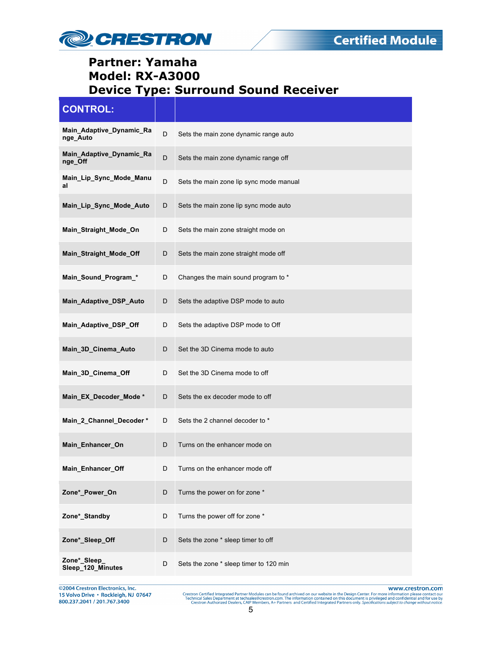

| <b>CONTROL:</b>                      |             |                                         |
|--------------------------------------|-------------|-----------------------------------------|
| Main_Adaptive_Dynamic_Ra<br>nge_Auto | D           | Sets the main zone dynamic range auto   |
| Main_Adaptive_Dynamic_Ra<br>nge Off  | D           | Sets the main zone dynamic range off    |
| Main_Lip_Sync_Mode_Manu<br>al        | D           | Sets the main zone lip sync mode manual |
| Main_Lip_Sync_Mode_Auto              | D           | Sets the main zone lip sync mode auto   |
| Main_Straight_Mode_On                | D           | Sets the main zone straight mode on     |
| Main_Straight_Mode_Off               | D           | Sets the main zone straight mode off    |
| Main_Sound_Program_*                 | D           | Changes the main sound program to *     |
| Main_Adaptive_DSP_Auto               | D           | Sets the adaptive DSP mode to auto      |
| Main_Adaptive_DSP_Off                | D           | Sets the adaptive DSP mode to Off       |
| Main_3D_Cinema_Auto                  | D           | Set the 3D Cinema mode to auto          |
| Main_3D_Cinema_Off                   | D           | Set the 3D Cinema mode to off           |
| Main_EX_Decoder_Mode*                | D           | Sets the ex decoder mode to off         |
| Main_2_Channel_Decoder*              | D           | Sets the 2 channel decoder to *         |
| Main_Enhancer_On                     | D           | Turns on the enhancer mode on           |
| Main_Enhancer_Off                    |             | Turns on the enhancer mode off          |
| Zone*_Power_On                       | $\mathsf D$ | Turns the power on for zone *           |
| Zone*_Standby                        | D           | Turns the power off for zone *          |
| Zone*_Sleep_Off                      | D           | Sets the zone * sleep timer to off      |
| Zone*_Sleep_<br>Sleep_120_Minutes    | D           | Sets the zone * sleep timer to 120 min  |

@2004 Crestron Electronics, Inc. 15 Volvo Drive · Rockleigh, NJ 07647 800.237.2041 / 201.767.3400

www.crestron.com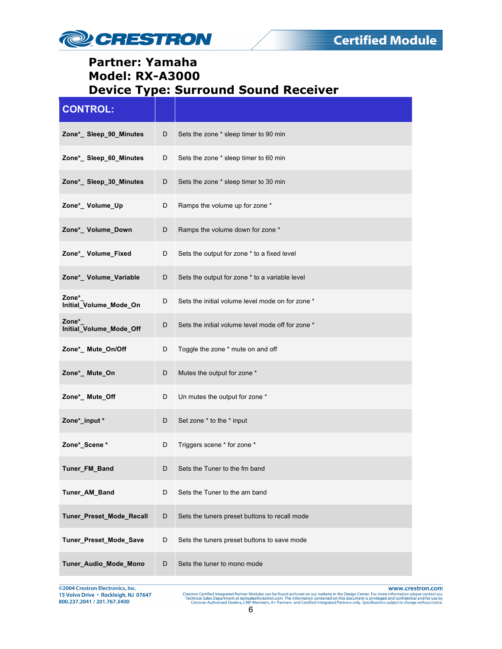

| <b>CONTROL:</b>                  |   |                                                   |
|----------------------------------|---|---------------------------------------------------|
| Zone*_ Sleep_90_Minutes          | D | Sets the zone * sleep timer to 90 min             |
| Zone*_Sleep_60_Minutes           | D | Sets the zone * sleep timer to 60 min             |
| Zone*_Sleep_30_Minutes           | D | Sets the zone * sleep timer to 30 min             |
| Zone*_Volume_Up                  | D | Ramps the volume up for zone *                    |
| Zone*_ Volume_Down               | D | Ramps the volume down for zone *                  |
| Zone*_ Volume_Fixed              | D | Sets the output for zone * to a fixed level       |
| Zone*_ Volume_Variable           | D | Sets the output for zone * to a variable level    |
| Zone*<br>Initial_Volume_Mode_On  | D | Sets the initial volume level mode on for zone *  |
| Zone*<br>Initial_Volume_Mode_Off | D | Sets the initial volume level mode off for zone * |
| Zone*_ Mute_On/Off               | D | Toggle the zone * mute on and off                 |
| Zone*_ Mute_On                   | D | Mutes the output for zone *                       |
| Zone*_ Mute_Off                  | D | Un mutes the output for zone *                    |
| Zone*_input *                    | D | Set zone * to the * input                         |
| Zone*_Scene *                    | D | Triggers scene * for zone *                       |
| Tuner_FM_Band                    | D | Sets the Tuner to the fm band                     |
| Tuner_AM_Band                    | D | Sets the Tuner to the am band                     |
| Tuner_Preset_Mode_Recall         | D | Sets the tuners preset buttons to recall mode     |
| Tuner_Preset_Mode_Save           | D | Sets the tuners preset buttons to save mode       |
| Tuner_Audio_Mode_Mono            | D | Sets the tuner to mono mode                       |

@2004 Crestron Electronics, Inc. 15 Volvo Drive · Rockleigh, NJ 07647 800.237.2041 / 201.767.3400

www.crestron.com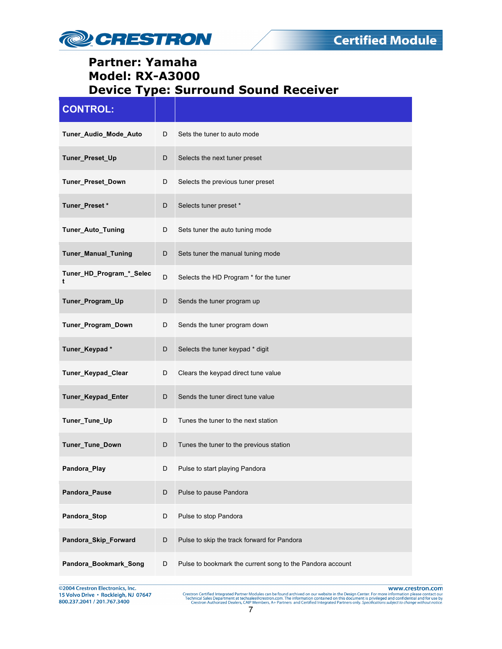

| <b>CONTROL:</b>               |   |                                                           |
|-------------------------------|---|-----------------------------------------------------------|
| Tuner_Audio_Mode_Auto         | D | Sets the tuner to auto mode                               |
| Tuner_Preset_Up               | D | Selects the next tuner preset                             |
| Tuner_Preset_Down             | D | Selects the previous tuner preset                         |
| Tuner_Preset*                 | D | Selects tuner preset *                                    |
| Tuner_Auto_Tuning             | D | Sets tuner the auto tuning mode                           |
| <b>Tuner_Manual_Tuning</b>    | D | Sets tuner the manual tuning mode                         |
| Tuner_HD_Program_*_Selec<br>t | D | Selects the HD Program * for the tuner                    |
| Tuner_Program_Up              | D | Sends the tuner program up                                |
| Tuner_Program_Down            | D | Sends the tuner program down                              |
| Tuner_Keypad*                 | D | Selects the tuner keypad * digit                          |
| Tuner_Keypad_Clear            | D | Clears the keypad direct tune value                       |
| Tuner_Keypad_Enter            | D | Sends the tuner direct tune value                         |
| Tuner_Tune_Up                 | D | Tunes the tuner to the next station                       |
| Tuner_Tune_Down               | D | Tunes the tuner to the previous station                   |
| Pandora_Play                  |   | Pulse to start playing Pandora                            |
| Pandora_Pause                 | D | Pulse to pause Pandora                                    |
| Pandora_Stop                  | D | Pulse to stop Pandora                                     |
| Pandora_Skip_Forward          | D | Pulse to skip the track forward for Pandora               |
| Pandora_Bookmark_Song         | D | Pulse to bookmark the current song to the Pandora account |

@2004 Crestron Electronics, Inc. 15 Volvo Drive · Rockleigh, NJ 07647 800.237.2041 / 201.767.3400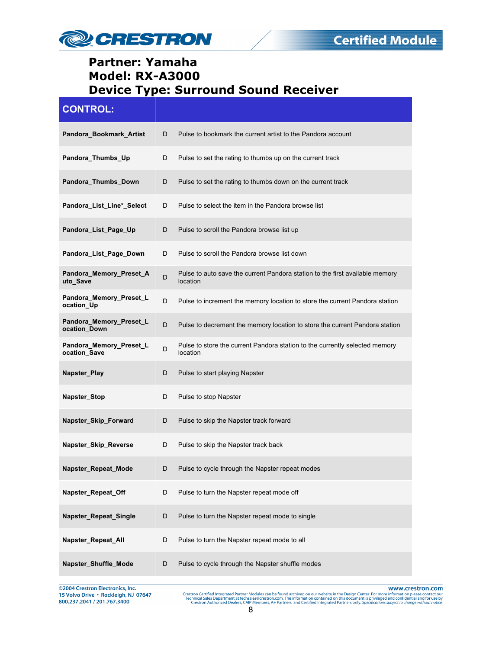

| <b>CONTROL:</b>                         |   |                                                                                          |
|-----------------------------------------|---|------------------------------------------------------------------------------------------|
| Pandora Bookmark Artist                 | D | Pulse to bookmark the current artist to the Pandora account                              |
| Pandora_Thumbs_Up                       | D | Pulse to set the rating to thumbs up on the current track                                |
| Pandora_Thumbs_Down                     | D | Pulse to set the rating to thumbs down on the current track                              |
| Pandora_List_Line*_Select               | D | Pulse to select the item in the Pandora browse list                                      |
| Pandora_List_Page_Up                    | D | Pulse to scroll the Pandora browse list up                                               |
| Pandora_List_Page_Down                  | D | Pulse to scroll the Pandora browse list down                                             |
| Pandora_Memory_Preset_A<br>uto_Save     | D | Pulse to auto save the current Pandora station to the first available memory<br>location |
| Pandora_Memory_Preset_L<br>ocation_Up   | D | Pulse to increment the memory location to store the current Pandora station              |
| Pandora_Memory_Preset_L<br>ocation Down | D | Pulse to decrement the memory location to store the current Pandora station              |
| Pandora_Memory_Preset_L<br>ocation_Save | D | Pulse to store the current Pandora station to the currently selected memory<br>location  |
| Napster_Play                            | D | Pulse to start playing Napster                                                           |
| Napster_Stop                            | D | Pulse to stop Napster                                                                    |
| Napster_Skip_Forward                    | D | Pulse to skip the Napster track forward                                                  |
| Napster_Skip_Reverse                    | D | Pulse to skip the Napster track back                                                     |
| Napster_Repeat_Mode                     | D | Pulse to cycle through the Napster repeat modes                                          |
| Napster_Repeat_Off                      | D | Pulse to turn the Napster repeat mode off                                                |
| Napster_Repeat_Single                   | D | Pulse to turn the Napster repeat mode to single                                          |
| Napster_Repeat_All                      | D | Pulse to turn the Napster repeat mode to all                                             |
| Napster_Shuffle_Mode                    | D | Pulse to cycle through the Napster shuffle modes                                         |

@2004 Crestron Electronics, Inc. 15 Volvo Drive · Rockleigh, NJ 07647 800.237.2041 / 201.767.3400

www.crestron.com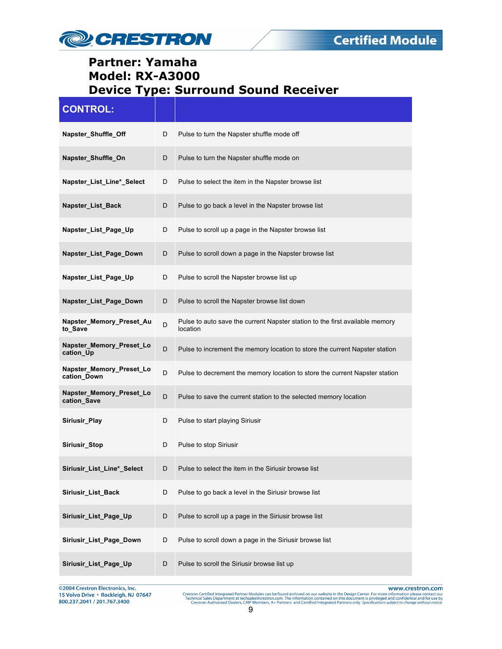

| <b>CONTROL:</b>                         |   |                                                                                          |
|-----------------------------------------|---|------------------------------------------------------------------------------------------|
| Napster_Shuffle_Off                     | D | Pulse to turn the Napster shuffle mode off                                               |
| Napster_Shuffle_On                      | D | Pulse to turn the Napster shuffle mode on                                                |
| Napster List Line* Select               | D | Pulse to select the item in the Napster browse list                                      |
| Napster_List_Back                       | D | Pulse to go back a level in the Napster browse list                                      |
| Napster_List_Page_Up                    | D | Pulse to scroll up a page in the Napster browse list                                     |
| Napster_List_Page_Down                  | D | Pulse to scroll down a page in the Napster browse list                                   |
| Napster_List_Page_Up                    | D | Pulse to scroll the Napster browse list up                                               |
| Napster_List_Page_Down                  | D | Pulse to scroll the Napster browse list down                                             |
| Napster_Memory_Preset_Au<br>to Save     | D | Pulse to auto save the current Napster station to the first available memory<br>location |
| Napster_Memory_Preset_Lo<br>cation_Up   | D | Pulse to increment the memory location to store the current Napster station              |
| Napster_Memory_Preset_Lo<br>cation_Down | D | Pulse to decrement the memory location to store the current Napster station              |
| Napster_Memory_Preset_Lo<br>cation_Save | D | Pulse to save the current station to the selected memory location                        |
| Siriusir_Play                           | D | Pulse to start playing Siriusir                                                          |
| Siriusir_Stop                           | D | Pulse to stop Siriusir                                                                   |
| Siriusir_List_Line*_Select              |   | Pulse to select the item in the Siriusir browse list                                     |
| Siriusir_List_Back                      | D | Pulse to go back a level in the Siriusir browse list                                     |
| Siriusir_List_Page_Up                   | D | Pulse to scroll up a page in the Siriusir browse list                                    |
| Siriusir_List_Page_Down                 | D | Pulse to scroll down a page in the Siriusir browse list                                  |
| Siriusir_List_Page_Up                   | D | Pulse to scroll the Siriusir browse list up                                              |

@2004 Crestron Electronics, Inc. 15 Volvo Drive · Rockleigh, NJ 07647 800.237.2041 / 201.767.3400

www.crestron.com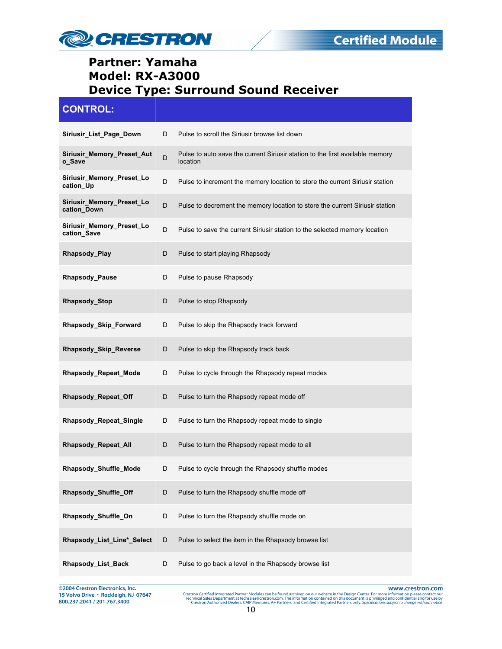

| <b>CONTROL:</b>                          |   |                                                                                           |
|------------------------------------------|---|-------------------------------------------------------------------------------------------|
| Siriusir_List_Page_Down                  | D | Pulse to scroll the Siriusir browse list down                                             |
| Siriusir_Memory_Preset_Aut<br>o_Save     | D | Pulse to auto save the current Siriusir station to the first available memory<br>location |
| Siriusir_Memory_Preset_Lo<br>cation_Up   | D | Pulse to increment the memory location to store the current Siriusir station              |
| Siriusir_Memory_Preset_Lo<br>cation Down | D | Pulse to decrement the memory location to store the current Siriusir station              |
| Siriusir_Memory_Preset_Lo<br>cation Save | D | Pulse to save the current Siriusir station to the selected memory location                |
| Rhapsody_Play                            | D | Pulse to start playing Rhapsody                                                           |
| <b>Rhapsody_Pause</b>                    | D | Pulse to pause Rhapsody                                                                   |
| Rhapsody_Stop                            | D | Pulse to stop Rhapsody                                                                    |
| Rhapsody_Skip_Forward                    | D | Pulse to skip the Rhapsody track forward                                                  |
| Rhapsody_Skip_Reverse                    | D | Pulse to skip the Rhapsody track back                                                     |
| <b>Rhapsody_Repeat_Mode</b>              | D | Pulse to cycle through the Rhapsody repeat modes                                          |
| Rhapsody_Repeat_Off                      | D | Pulse to turn the Rhapsody repeat mode off                                                |
| Rhapsody_Repeat_Single                   | D | Pulse to turn the Rhapsody repeat mode to single                                          |
| Rhapsody_Repeat_All                      | D | Pulse to turn the Rhapsody repeat mode to all                                             |
| Rhapsody_Shuffle_Mode                    | D | Pulse to cycle through the Rhapsody shuffle modes                                         |
| Rhapsody_Shuffle_Off                     | D | Pulse to turn the Rhapsody shuffle mode off                                               |
| Rhapsody_Shuffle_On                      | D | Pulse to turn the Rhapsody shuffle mode on                                                |
| Rhapsody_List_Line*_Select               | D | Pulse to select the item in the Rhapsody browse list                                      |
| Rhapsody_List_Back                       | D | Pulse to go back a level in the Rhapsody browse list                                      |

©2004 Crestron Electronics, Inc. 15 Volvo Drive · Rockleigh, NJ 07647 800.237.2041 / 201.767.3400

www.crestron.com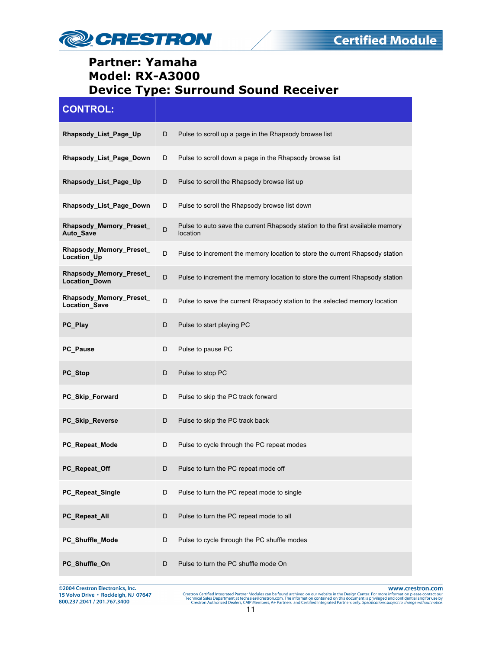

| <b>CONTROL:</b>                                 |   |                                                                                           |
|-------------------------------------------------|---|-------------------------------------------------------------------------------------------|
| Rhapsody_List_Page_Up                           | D | Pulse to scroll up a page in the Rhapsody browse list                                     |
| Rhapsody_List_Page_Down                         | D | Pulse to scroll down a page in the Rhapsody browse list                                   |
| Rhapsody_List_Page_Up                           | D | Pulse to scroll the Rhapsody browse list up                                               |
| Rhapsody_List_Page_Down                         | D | Pulse to scroll the Rhapsody browse list down                                             |
| Rhapsody_Memory_Preset_<br>Auto_Save            | D | Pulse to auto save the current Rhapsody station to the first available memory<br>location |
| Rhapsody_Memory_Preset_<br>Location_Up          | D | Pulse to increment the memory location to store the current Rhapsody station              |
| Rhapsody_Memory_Preset_<br><b>Location Down</b> | D | Pulse to increment the memory location to store the current Rhapsody station              |
| Rhapsody_Memory_Preset_<br>Location_Save        | D | Pulse to save the current Rhapsody station to the selected memory location                |
| PC Play                                         | D | Pulse to start playing PC                                                                 |
| PC_Pause                                        | D | Pulse to pause PC                                                                         |
| PC_Stop                                         | D | Pulse to stop PC                                                                          |
| PC_Skip_Forward                                 | D | Pulse to skip the PC track forward                                                        |
| PC_Skip_Reverse                                 | D | Pulse to skip the PC track back                                                           |
| PC_Repeat_Mode                                  | D | Pulse to cycle through the PC repeat modes                                                |
| PC_Repeat_Off                                   | D | Pulse to turn the PC repeat mode off                                                      |
| PC_Repeat_Single                                | D | Pulse to turn the PC repeat mode to single                                                |
| PC_Repeat_All                                   | D | Pulse to turn the PC repeat mode to all                                                   |
| PC_Shuffle_Mode                                 | D | Pulse to cycle through the PC shuffle modes                                               |
| PC_Shuffle_On                                   | D | Pulse to turn the PC shuffle mode On                                                      |

@2004 Crestron Electronics, Inc. 15 Volvo Drive · Rockleigh, NJ 07647 800.237.2041 / 201.767.3400

www.crestron.com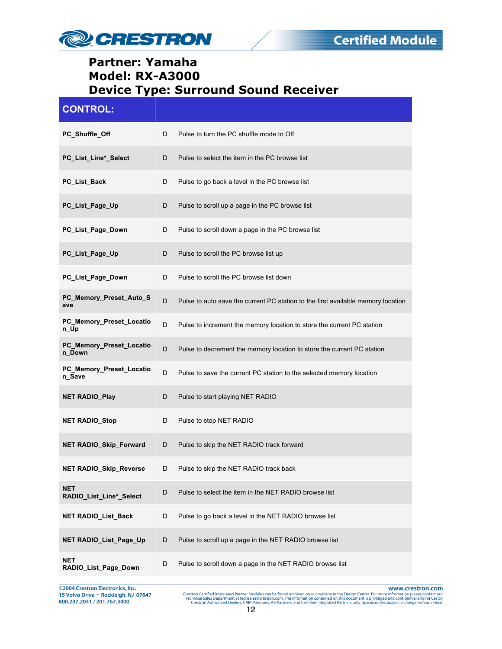

| <b>CONTROL:</b>                       |   |                                                                                  |
|---------------------------------------|---|----------------------------------------------------------------------------------|
| PC_Shuffle_Off                        | D | Pulse to turn the PC shuffle mode to Off                                         |
| PC_List_Line*_Select                  | D | Pulse to select the item in the PC browse list                                   |
| PC_List_Back                          | D | Pulse to go back a level in the PC browse list                                   |
| PC_List_Page_Up                       | D | Pulse to scroll up a page in the PC browse list                                  |
| PC_List_Page_Down                     | D | Pulse to scroll down a page in the PC browse list                                |
| PC_List_Page_Up                       | D | Pulse to scroll the PC browse list up                                            |
| PC_List_Page_Down                     | D | Pulse to scroll the PC browse list down                                          |
| PC_Memory_Preset_Auto_S<br>ave        | D | Pulse to auto save the current PC station to the first available memory location |
| PC_Memory_Preset_Locatio<br>n_Up      | D | Pulse to increment the memory location to store the current PC station           |
| PC_Memory_Preset_Locatio<br>n_Down    | D | Pulse to decrement the memory location to store the current PC station           |
| PC_Memory_Preset_Locatio<br>n_Save    | D | Pulse to save the current PC station to the selected memory location             |
| <b>NET RADIO_Play</b>                 | D | Pulse to start playing NET RADIO                                                 |
| <b>NET RADIO_Stop</b>                 | D | Pulse to stop NET RADIO                                                          |
| <b>NET RADIO Skip Forward</b>         | D | Pulse to skip the NET RADIO track forward                                        |
| <b>NET RADIO_Skip_Reverse</b>         | D | Pulse to skip the NET RADIO track back                                           |
| <b>NET</b><br>RADIO_List_Line*_Select | D | Pulse to select the item in the NET RADIO browse list                            |
| <b>NET RADIO_List_Back</b>            | D | Pulse to go back a level in the NET RADIO browse list                            |
| NET RADIO_List_Page_Up                | D | Pulse to scroll up a page in the NET RADIO browse list                           |
| <b>NET</b><br>RADIO_List_Page_Down    | D | Pulse to scroll down a page in the NET RADIO browse list                         |

@2004 Crestron Electronics, Inc. 15 Volvo Drive · Rockleigh, NJ 07647 800.237.2041 / 201.767.3400

www.crestron.com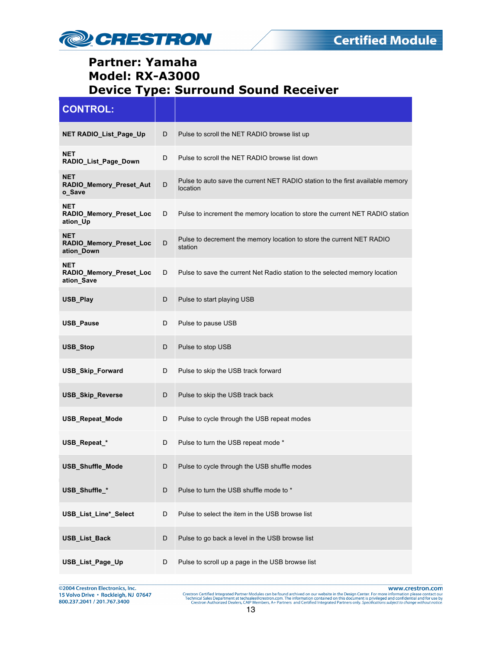

| <b>CONTROL:</b>                                     |   |                                                                                            |
|-----------------------------------------------------|---|--------------------------------------------------------------------------------------------|
| NET RADIO_List_Page_Up                              | D | Pulse to scroll the NET RADIO browse list up                                               |
| <b>NET</b><br>RADIO_List_Page_Down                  | D | Pulse to scroll the NET RADIO browse list down                                             |
| <b>NET</b><br>RADIO_Memory_Preset_Aut<br>o Save     | D | Pulse to auto save the current NET RADIO station to the first available memory<br>location |
| <b>NET</b><br>RADIO_Memory_Preset_Loc<br>ation_Up   | D | Pulse to increment the memory location to store the current NET RADIO station              |
| <b>NET</b><br>RADIO_Memory_Preset_Loc<br>ation_Down | D | Pulse to decrement the memory location to store the current NET RADIO<br>station           |
| <b>NET</b><br>RADIO_Memory_Preset_Loc<br>ation Save | D | Pulse to save the current Net Radio station to the selected memory location                |
| USB_Play                                            | D | Pulse to start playing USB                                                                 |
| <b>USB_Pause</b>                                    | D | Pulse to pause USB                                                                         |
| USB_Stop                                            | D | Pulse to stop USB                                                                          |
| <b>USB_Skip_Forward</b>                             | D | Pulse to skip the USB track forward                                                        |
| <b>USB_Skip_Reverse</b>                             | D | Pulse to skip the USB track back                                                           |
| <b>USB Repeat Mode</b>                              | D | Pulse to cycle through the USB repeat modes                                                |
| USB_Repeat_*                                        | D | Pulse to turn the USB repeat mode *                                                        |
| USB_Shuffle_Mode                                    | D | Pulse to cycle through the USB shuffle modes                                               |
| USB_Shuffle_*                                       | D | Pulse to turn the USB shuffle mode to *                                                    |
| USB_List_Line*_Select                               | D | Pulse to select the item in the USB browse list                                            |
| <b>USB_List_Back</b>                                | D | Pulse to go back a level in the USB browse list                                            |
| USB_List_Page_Up                                    | D | Pulse to scroll up a page in the USB browse list                                           |

@2004 Crestron Electronics, Inc. 15 Volvo Drive · Rockleigh, NJ 07647 800.237.2041 / 201.767.3400

www.crestron.com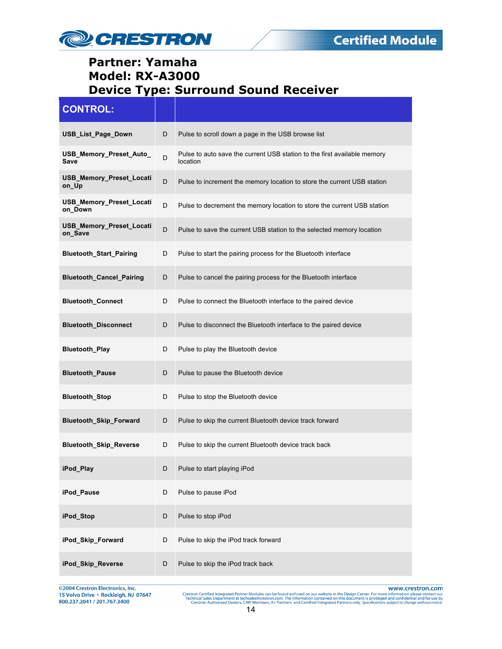

| <b>CONTROL:</b>                     |   |                                                                                      |
|-------------------------------------|---|--------------------------------------------------------------------------------------|
| USB_List_Page_Down                  | D | Pulse to scroll down a page in the USB browse list                                   |
| USB_Memory_Preset_Auto_<br>Save     | D | Pulse to auto save the current USB station to the first available memory<br>location |
| USB_Memory_Preset_Locati<br>on_Up   | D | Pulse to increment the memory location to store the current USB station              |
| USB_Memory_Preset_Locati<br>on_Down | D | Pulse to decrement the memory location to store the current USB station              |
| USB_Memory_Preset_Locati<br>on_Save | D | Pulse to save the current USB station to the selected memory location                |
| <b>Bluetooth_Start_Pairing</b>      | D | Pulse to start the pairing process for the Bluetooth interface                       |
| <b>Bluetooth_Cancel_Pairing</b>     | D | Pulse to cancel the pairing process for the Bluetooth interface                      |
| <b>Bluetooth_Connect</b>            | D | Pulse to connect the Bluetooth interface to the paired device                        |
| <b>Bluetooth_Disconnect</b>         | D | Pulse to disconnect the Bluetooth interface to the paired device                     |
| <b>Bluetooth_Play</b>               | D | Pulse to play the Bluetooth device                                                   |
| <b>Bluetooth_Pause</b>              | D | Pulse to pause the Bluetooth device                                                  |
| <b>Bluetooth_Stop</b>               | D | Pulse to stop the Bluetooth device                                                   |
| Bluetooth_Skip_Forward              | D | Pulse to skip the current Bluetooth device track forward                             |
| Bluetooth_Skip_Reverse              | D | Pulse to skip the current Bluetooth device track back                                |
| iPod_Play                           | D | Pulse to start playing iPod                                                          |
| iPod_Pause                          | D | Pulse to pause iPod                                                                  |
| iPod_Stop                           | D | Pulse to stop iPod                                                                   |
| iPod Skip Forward                   | D | Pulse to skip the iPod track forward                                                 |
| iPod_Skip_Reverse                   | D | Pulse to skip the iPod track back                                                    |

@2004 Crestron Electronics, Inc. 15 Volvo Drive · Rockleigh, NJ 07647 800.237.2041 / 201.767.3400

www.crestron.com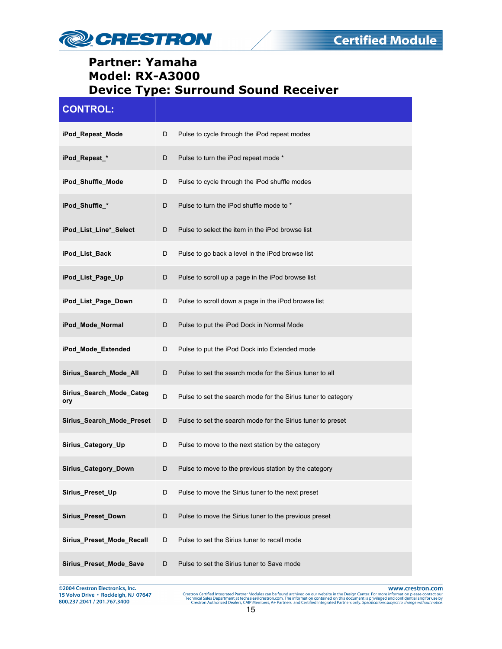

| <b>CONTROL:</b>                 |   |                                                               |
|---------------------------------|---|---------------------------------------------------------------|
| iPod_Repeat_Mode                | D | Pulse to cycle through the iPod repeat modes                  |
| iPod_Repeat_*                   | D | Pulse to turn the iPod repeat mode *                          |
| iPod_Shuffle_Mode               | D | Pulse to cycle through the iPod shuffle modes                 |
| iPod_Shuffle_*                  | D | Pulse to turn the iPod shuffle mode to *                      |
| iPod_List_Line*_Select          | D | Pulse to select the item in the iPod browse list              |
| iPod_List_Back                  | D | Pulse to go back a level in the iPod browse list              |
| iPod_List_Page_Up               | D | Pulse to scroll up a page in the iPod browse list             |
| iPod_List_Page_Down             | D | Pulse to scroll down a page in the iPod browse list           |
| iPod_Mode_Normal                | D | Pulse to put the iPod Dock in Normal Mode                     |
| iPod_Mode_Extended              | D | Pulse to put the iPod Dock into Extended mode                 |
| Sirius_Search_Mode_All          | D | Pulse to set the search mode for the Sirius tuner to all      |
| Sirius_Search_Mode_Categ<br>ory | D | Pulse to set the search mode for the Sirius tuner to category |
| Sirius_Search_Mode_Preset       | D | Pulse to set the search mode for the Sirius tuner to preset   |
| Sirius_Category_Up              | D | Pulse to move to the next station by the category             |
| Sirius_Category_Down            | D | Pulse to move to the previous station by the category         |
| Sirius_Preset_Up                | D | Pulse to move the Sirius tuner to the next preset             |
| Sirius_Preset_Down              | D | Pulse to move the Sirius tuner to the previous preset         |
| Sirius_Preset_Mode_Recall       | D | Pulse to set the Sirius tuner to recall mode                  |
| Sirius_Preset_Mode_Save         | D | Pulse to set the Sirius tuner to Save mode                    |

@2004 Crestron Electronics, Inc. 15 Volvo Drive · Rockleigh, NJ 07647 800.237.2041 / 201.767.3400

www.crestron.com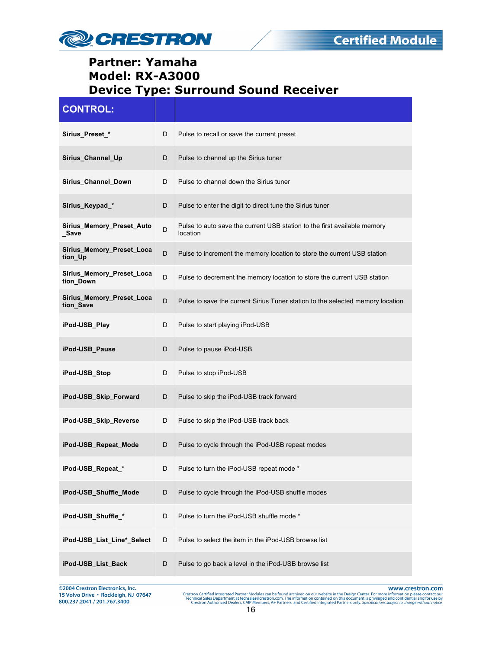

| <b>CONTROL:</b>                        |   |                                                                                      |
|----------------------------------------|---|--------------------------------------------------------------------------------------|
| Sirius_Preset_*                        | D | Pulse to recall or save the current preset                                           |
| Sirius_Channel_Up                      | D | Pulse to channel up the Sirius tuner                                                 |
| Sirius_Channel_Down                    | D | Pulse to channel down the Sirius tuner                                               |
| Sirius_Keypad_*                        | D | Pulse to enter the digit to direct tune the Sirius tuner                             |
| Sirius_Memory_Preset_Auto<br>Save      | D | Pulse to auto save the current USB station to the first available memory<br>location |
| Sirius_Memory_Preset_Loca<br>tion_Up   | D | Pulse to increment the memory location to store the current USB station              |
| Sirius_Memory_Preset_Loca<br>tion_Down | D | Pulse to decrement the memory location to store the current USB station              |
| Sirius_Memory_Preset_Loca<br>tion_Save | D | Pulse to save the current Sirius Tuner station to the selected memory location       |
| iPod-USB Play                          | D | Pulse to start playing iPod-USB                                                      |
| iPod-USB_Pause                         | D | Pulse to pause iPod-USB                                                              |
| iPod-USB_Stop                          | D | Pulse to stop iPod-USB                                                               |
| iPod-USB_Skip_Forward                  | D | Pulse to skip the iPod-USB track forward                                             |
| iPod-USB_Skip_Reverse                  | D | Pulse to skip the iPod-USB track back                                                |
| iPod-USB_Repeat_Mode                   | D | Pulse to cycle through the iPod-USB repeat modes                                     |
| iPod-USB_Repeat_*                      |   | Pulse to turn the iPod-USB repeat mode                                               |
| iPod-USB_Shuffle_Mode                  | D | Pulse to cycle through the iPod-USB shuffle modes                                    |
| iPod-USB_Shuffle_*                     | D | Pulse to turn the iPod-USB shuffle mode *                                            |
| iPod-USB_List_Line*_Select             | D | Pulse to select the item in the iPod-USB browse list                                 |
| iPod-USB_List_Back                     | D | Pulse to go back a level in the iPod-USB browse list                                 |

@2004 Crestron Electronics, Inc. 15 Volvo Drive · Rockleigh, NJ 07647 800.237.2041 / 201.767.3400

www.crestron.com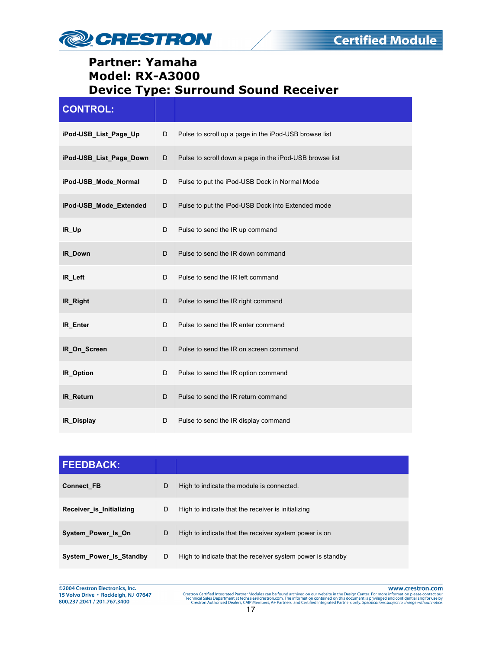

| <b>CONTROL:</b>         |   |                                                         |
|-------------------------|---|---------------------------------------------------------|
| iPod-USB_List_Page_Up   | D | Pulse to scroll up a page in the iPod-USB browse list   |
| iPod-USB List Page Down | D | Pulse to scroll down a page in the iPod-USB browse list |
| iPod-USB_Mode_Normal    | D | Pulse to put the iPod-USB Dock in Normal Mode           |
| iPod-USB_Mode_Extended  | D | Pulse to put the iPod-USB Dock into Extended mode       |
| IR_Up                   | D | Pulse to send the IR up command                         |
| <b>IR Down</b>          | D | Pulse to send the IR down command                       |
| IR_Left                 | D | Pulse to send the IR left command                       |
| IR_Right                | D | Pulse to send the IR right command                      |
| IR Enter                | D | Pulse to send the IR enter command                      |
| IR_On_Screen            | D | Pulse to send the IR on screen command                  |
| IR_Option               | D | Pulse to send the IR option command                     |
| <b>IR Return</b>        | D | Pulse to send the IR return command                     |
| IR_Display              | D | Pulse to send the IR display command                    |

| <b>FEEDBACK:</b>         |   |                                                            |
|--------------------------|---|------------------------------------------------------------|
| <b>Connect FB</b>        | D | High to indicate the module is connected.                  |
| Receiver is Initializing | D | High to indicate that the receiver is initializing         |
| System Power Is On       | D | High to indicate that the receiver system power is on      |
| System Power Is Standby  | D | High to indicate that the receiver system power is standby |

@2004 Crestron Electronics, Inc. 15 Volvo Drive · Rockleigh, NJ 07647 800.237.2041 / 201.767.3400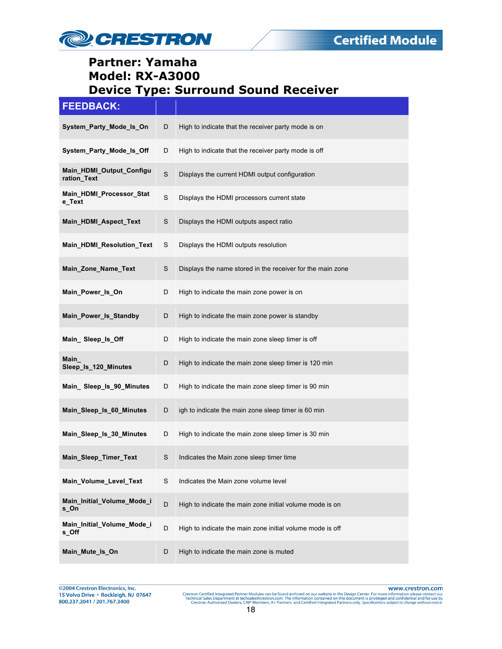

#### **FEEDBACK:**

| ______                                  |             |                                                            |
|-----------------------------------------|-------------|------------------------------------------------------------|
| System_Party_Mode_Is_On                 | D           | High to indicate that the receiver party mode is on        |
| System_Party_Mode_Is_Off                | D           | High to indicate that the receiver party mode is off       |
| Main HDMI Output Configu<br>ration_Text | $\mathbf S$ | Displays the current HDMI output configuration             |
| Main_HDMI_Processor_Stat<br>e_Text      | S           | Displays the HDMI processors current state                 |
| Main_HDMI_Aspect_Text                   | S           | Displays the HDMI outputs aspect ratio                     |
| Main_HDMI_Resolution_Text               | S           | Displays the HDMI outputs resolution                       |
| Main_Zone_Name_Text                     | S           | Displays the name stored in the receiver for the main zone |
| Main_Power_Is_On                        | D           | High to indicate the main zone power is on                 |
| Main_Power_Is_Standby                   | D           | High to indicate the main zone power is standby            |
| Main_Sleep_ls_Off                       | D           | High to indicate the main zone sleep timer is off          |
| Main<br>Sleep_Is_120_Minutes            | D           | High to indicate the main zone sleep timer is 120 min      |
| Main_Sleep_Is_90_Minutes                | D           | High to indicate the main zone sleep timer is 90 min       |
| Main_Sleep_Is_60_Minutes                | D           | igh to indicate the main zone sleep timer is 60 min        |
| Main_Sleep_Is_30_Minutes                | D           | High to indicate the main zone sleep timer is 30 min       |
| Main_Sleep_Timer_Text                   | S           | Indicates the Main zone sleep timer time                   |
| Main_Volume_Level_Text                  | S           | Indicates the Main zone volume level                       |
| Main_Initial_Volume_Mode_i<br>s_On      | $\mathsf D$ | High to indicate the main zone initial volume mode is on   |
| Main_Initial_Volume_Mode_i<br>s_Off     | D           | High to indicate the main zone initial volume mode is off  |
| Main_Mute_Is_On                         | D           | High to indicate the main zone is muted                    |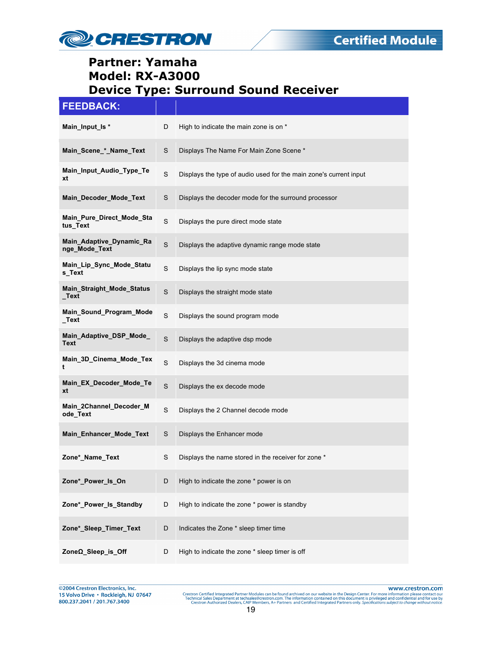

| <b>FEEDBACK:</b>                          |             |                                                                   |
|-------------------------------------------|-------------|-------------------------------------------------------------------|
| Main_Input_Is *                           | D           | High to indicate the main zone is on *                            |
| Main_Scene_*_Name_Text                    | S           | Displays The Name For Main Zone Scene *                           |
| Main_Input_Audio_Type_Te<br>xt            | S           | Displays the type of audio used for the main zone's current input |
| Main Decoder Mode Text                    | S           | Displays the decoder mode for the surround processor              |
| Main Pure Direct Mode Sta<br>tus_Text     | S           | Displays the pure direct mode state                               |
| Main_Adaptive_Dynamic_Ra<br>nge_Mode_Text | $\mathbf S$ | Displays the adaptive dynamic range mode state                    |
| Main_Lip_Sync_Mode_Statu<br>s_Text        | S           | Displays the lip sync mode state                                  |
| <b>Main_Straight_Mode_Status</b><br>_Text | S           | Displays the straight mode state                                  |
| Main_Sound_Program_Mode<br>_Text          | S           | Displays the sound program mode                                   |
| Main_Adaptive_DSP_Mode_<br>Text           | S           | Displays the adaptive dsp mode                                    |
| Main_3D_Cinema_Mode_Tex<br>t              | $\mathbf S$ | Displays the 3d cinema mode                                       |
| Main_EX_Decoder_Mode_Te<br>xt             | $\mathbb S$ | Displays the ex decode mode                                       |
| Main_2Channel_Decoder_M<br>ode_Text       | S           | Displays the 2 Channel decode mode                                |
| Main_Enhancer_Mode_Text                   | S           | Displays the Enhancer mode                                        |
| Zone*_Name_Text                           | S           | Displays the name stored in the receiver for zone *               |
| Zone*_Power_Is_On                         | D           | High to indicate the zone * power is on                           |
| Zone*_Power_Is_Standby                    | D           | High to indicate the zone * power is standby                      |
| Zone*_Sleep_Timer_Text                    | D           | Indicates the Zone * sleep timer time                             |
| ZoneΩ_Sleep_is_Off                        | D           | High to indicate the zone * sleep timer is off                    |

@2004 Crestron Electronics, Inc. 15 Volvo Drive · Rockleigh, NJ 07647 800.237.2041 / 201.767.3400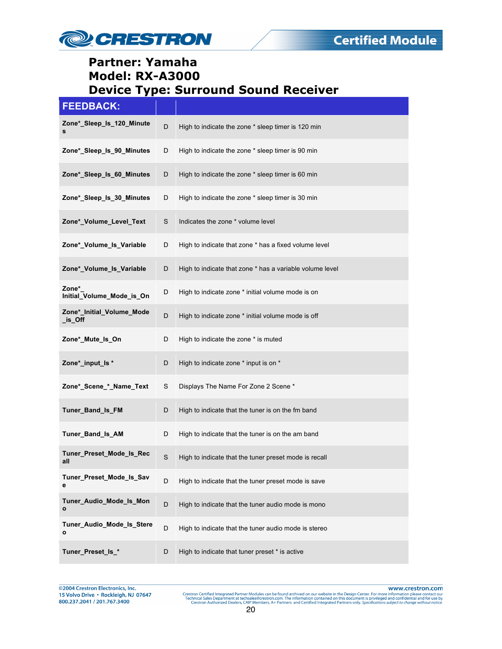

| <b>FEEDBACK:</b>                     |   |                                                          |
|--------------------------------------|---|----------------------------------------------------------|
| Zone* Sleep Is 120 Minute<br>s       | D | High to indicate the zone * sleep timer is 120 min       |
| Zone*_Sleep_ls_90_Minutes            | D | High to indicate the zone * sleep timer is 90 min        |
| Zone*_Sleep_ls_60_Minutes            | D | High to indicate the zone * sleep timer is 60 min        |
| Zone* Sleep Is 30 Minutes            | D | High to indicate the zone * sleep timer is 30 min        |
| Zone*_Volume_Level_Text              | S | Indicates the zone * volume level                        |
| Zone*_Volume_Is_Variable             | D | High to indicate that zone * has a fixed volume level    |
| Zone*_Volume_Is_Variable             | D | High to indicate that zone * has a variable volume level |
| Zone*<br>Initial_Volume_Mode_is_On   | D | High to indicate zone * initial volume mode is on        |
| Zone*_Initial_Volume_Mode<br>_is_Off | D | High to indicate zone * initial volume mode is off       |
| Zone*_Mute_Is_On                     | D | High to indicate the zone * is muted                     |
| Zone*_input_ls *                     | D | High to indicate zone * input is on *                    |
| Zone*_Scene_*_Name_Text              | S | Displays The Name For Zone 2 Scene *                     |
| Tuner_Band_Is_FM                     | D | High to indicate that the tuner is on the fm band        |
| Tuner Band Is AM                     | D | High to indicate that the tuner is on the am band        |
| Tuner_Preset_Mode_Is_Rec<br>all      | S | High to indicate that the tuner preset mode is recall    |
| Tuner_Preset_Mode_Is_Sav<br>е        | D | High to indicate that the tuner preset mode is save      |
| Tuner Audio Mode Is Mon<br>o         | D | High to indicate that the tuner audio mode is mono       |
| Tuner_Audio_Mode_Is_Stere<br>o       | D | High to indicate that the tuner audio mode is stereo     |
| Tuner_Preset_ls_*                    | D | High to indicate that tuner preset * is active           |

©2004 Crestron Electronics, Inc. 15 Volvo Drive · Rockleigh, NJ 07647 800.237.2041 / 201.767.3400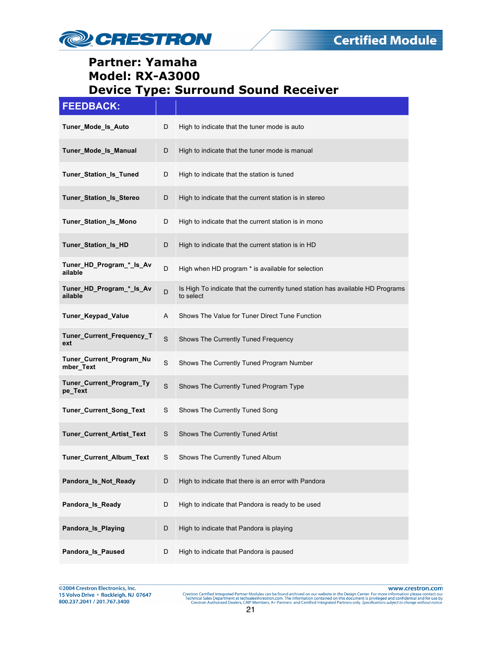

| <b>FEEDBACK:</b>                      |             |                                                                                             |
|---------------------------------------|-------------|---------------------------------------------------------------------------------------------|
| Tuner_Mode_Is_Auto                    | D           | High to indicate that the tuner mode is auto                                                |
| Tuner_Mode_Is_Manual                  | D           | High to indicate that the tuner mode is manual                                              |
| Tuner_Station_Is_Tuned                | D           | High to indicate that the station is tuned                                                  |
| Tuner_Station_Is_Stereo               | D           | High to indicate that the current station is in stereo                                      |
| Tuner_Station_Is_Mono                 | D           | High to indicate that the current station is in mono                                        |
| Tuner_Station_Is_HD                   | D           | High to indicate that the current station is in HD                                          |
| Tuner_HD_Program_*_Is_Av<br>ailable   | D           | High when HD program * is available for selection                                           |
| Tuner_HD_Program_*_Is_Av<br>ailable   | D           | Is High To indicate that the currently tuned station has available HD Programs<br>to select |
| <b>Tuner_Keypad_Value</b>             | A           | Shows The Value for Tuner Direct Tune Function                                              |
| Tuner_Current_Frequency_T<br>ext      | $\mathbb S$ | Shows The Currently Tuned Frequency                                                         |
| Tuner_Current_Program_Nu<br>mber Text | $\mathbf S$ | Shows The Currently Tuned Program Number                                                    |
| Tuner_Current_Program_Ty<br>pe_Text   | $\mathbf S$ | Shows The Currently Tuned Program Type                                                      |
| Tuner_Current_Song_Text               | S           | Shows The Currently Tuned Song                                                              |
| Tuner_Current_Artist_Text             | S           | Shows The Currently Tuned Artist                                                            |
| Tuner_Current_Album_Text              | S           | Shows The Currently Tuned Album                                                             |
| Pandora_Is_Not_Ready                  | D           | High to indicate that there is an error with Pandora                                        |
| Pandora_Is_Ready                      | D           | High to indicate that Pandora is ready to be used                                           |
| Pandora_Is_Playing                    | D           | High to indicate that Pandora is playing                                                    |
| Pandora Is Paused                     | D           | High to indicate that Pandora is paused                                                     |

@2004 Crestron Electronics, Inc. 15 Volvo Drive · Rockleigh, NJ 07647 800.237.2041 / 201.767.3400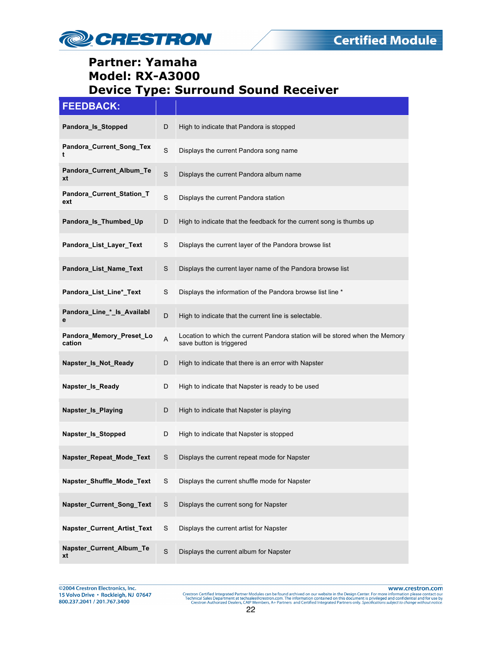

| <b>FEEDBACK:</b>                   |             |                                                                                                          |
|------------------------------------|-------------|----------------------------------------------------------------------------------------------------------|
| Pandora_Is_Stopped                 | D           | High to indicate that Pandora is stopped                                                                 |
| Pandora_Current_Song_Tex<br>t      | S           | Displays the current Pandora song name                                                                   |
| Pandora_Current_Album_Te<br>xt     | $\mathbf S$ | Displays the current Pandora album name                                                                  |
| Pandora_Current_Station_T<br>ext   | $\mathbf S$ | Displays the current Pandora station                                                                     |
| Pandora_Is_Thumbed_Up              | D           | High to indicate that the feedback for the current song is thumbs up                                     |
| Pandora_List_Layer_Text            | S           | Displays the current layer of the Pandora browse list                                                    |
| Pandora_List_Name_Text             | S           | Displays the current layer name of the Pandora browse list                                               |
| Pandora_List_Line*_Text            | S           | Displays the information of the Pandora browse list line *                                               |
| Pandora_Line_*_Is_Availabl<br>е    | D           | High to indicate that the current line is selectable.                                                    |
| Pandora_Memory_Preset_Lo<br>cation | A           | Location to which the current Pandora station will be stored when the Memory<br>save button is triggered |
| Napster_Is_Not_Ready               | D           | High to indicate that there is an error with Napster                                                     |
| Napster_Is_Ready                   | D           | High to indicate that Napster is ready to be used                                                        |
| Napster_Is_Playing                 | D           | High to indicate that Napster is playing                                                                 |
| Napster_Is_Stopped                 | D           | High to indicate that Napster is stopped                                                                 |
| Napster_Repeat_Mode_Text           | S           | Displays the current repeat mode for Napster                                                             |
| Napster_Shuffle_Mode_Text          | S           | Displays the current shuffle mode for Napster                                                            |
| Napster_Current_Song_Text          | $\mathsf S$ | Displays the current song for Napster                                                                    |
| Napster_Current_Artist_Text        | S           | Displays the current artist for Napster                                                                  |
| Napster_Current_Album_Te<br>xt     | $\mathbf S$ | Displays the current album for Napster                                                                   |

©2004 Crestron Electronics, Inc. 15 Volvo Drive · Rockleigh, NJ 07647 800.237.2041 / 201.767.3400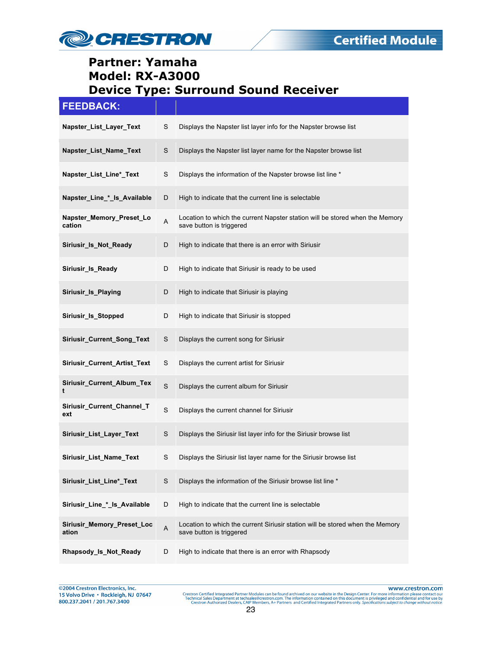

| <b>FEEDBACK:</b>                    |             |                                                                                                           |
|-------------------------------------|-------------|-----------------------------------------------------------------------------------------------------------|
| Napster_List_Layer_Text             | S           | Displays the Napster list layer info for the Napster browse list                                          |
| Napster_List_Name_Text              | $\mathsf S$ | Displays the Napster list layer name for the Napster browse list                                          |
| Napster_List_Line*_Text             | S           | Displays the information of the Napster browse list line *                                                |
| Napster_Line_*_ls_Available         | D           | High to indicate that the current line is selectable                                                      |
| Napster_Memory_Preset_Lo<br>cation  | A           | Location to which the current Napster station will be stored when the Memory<br>save button is triggered  |
| Siriusir_Is_Not_Ready               | D           | High to indicate that there is an error with Siriusir                                                     |
| Siriusir Is Ready                   | D           | High to indicate that Siriusir is ready to be used                                                        |
| Siriusir_Is_Playing                 | D           | High to indicate that Siriusir is playing                                                                 |
| Siriusir_Is_Stopped                 | D           | High to indicate that Siriusir is stopped                                                                 |
| Siriusir_Current_Song_Text          | S           | Displays the current song for Siriusir                                                                    |
| Siriusir_Current_Artist_Text        | S           | Displays the current artist for Siriusir                                                                  |
| Siriusir_Current_Album_Tex<br>t     | $\mathbf S$ | Displays the current album for Siriusir                                                                   |
| Siriusir_Current_Channel_T<br>ext   | $\mathbf S$ | Displays the current channel for Siriusir                                                                 |
| Siriusir_List_Layer_Text            | S           | Displays the Siriusir list layer info for the Siriusir browse list                                        |
| Siriusir_List_Name_Text             | S           | Displays the Siriusir list layer name for the Siriusir browse list                                        |
| Siriusir_List_Line*_Text            | $\mathsf S$ | Displays the information of the Siriusir browse list line *                                               |
| Siriusir_Line_*_ls_Available        | D           | High to indicate that the current line is selectable                                                      |
| Siriusir_Memory_Preset_Loc<br>ation | A           | Location to which the current Siriusir station will be stored when the Memory<br>save button is triggered |
| Rhapsody_Is_Not_Ready               | D           | High to indicate that there is an error with Rhapsody                                                     |

@2004 Crestron Electronics, Inc. 15 Volvo Drive · Rockleigh, NJ 07647 800.237.2041 / 201.767.3400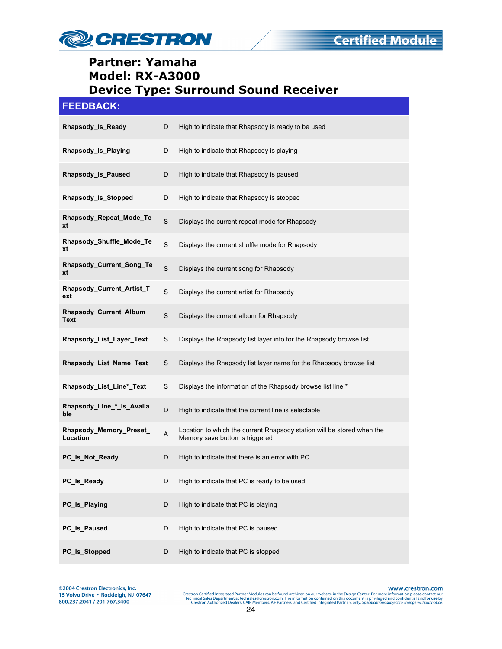

# **FEEDBACK:**

| Rhapsody_Is_Ready                   | D | High to indicate that Rhapsody is ready to be used                                                        |
|-------------------------------------|---|-----------------------------------------------------------------------------------------------------------|
| Rhapsody_Is_Playing                 | D | High to indicate that Rhapsody is playing                                                                 |
| Rhapsody_Is_Paused                  | D | High to indicate that Rhapsody is paused                                                                  |
| Rhapsody_Is_Stopped                 | D | High to indicate that Rhapsody is stopped                                                                 |
| Rhapsody Repeat Mode Te<br>xt       | S | Displays the current repeat mode for Rhapsody                                                             |
| Rhapsody_Shuffle_Mode_Te<br>xt      | S | Displays the current shuffle mode for Rhapsody                                                            |
| Rhapsody_Current_Song_Te<br>xt      | S | Displays the current song for Rhapsody                                                                    |
| Rhapsody_Current_Artist_T<br>ext    | S | Displays the current artist for Rhapsody                                                                  |
| Rhapsody_Current_Album_<br>Text     | S | Displays the current album for Rhapsody                                                                   |
| Rhapsody_List_Layer_Text            | S | Displays the Rhapsody list layer info for the Rhapsody browse list                                        |
| Rhapsody_List_Name_Text             | S | Displays the Rhapsody list layer name for the Rhapsody browse list                                        |
| Rhapsody_List_Line*_Text            | S | Displays the information of the Rhapsody browse list line *                                               |
| Rhapsody_Line_*_ls_Availa<br>ble    | D | High to indicate that the current line is selectable                                                      |
| Rhapsody_Memory_Preset_<br>Location | A | Location to which the current Rhapsody station will be stored when the<br>Memory save button is triggered |
| PC Is Not Ready                     | D | High to indicate that there is an error with PC                                                           |
| PC_Is_Ready                         | D | High to indicate that PC is ready to be used                                                              |
| PC_Is_Playing                       | D | High to indicate that PC is playing                                                                       |
| PC Is Paused                        | D | High to indicate that PC is paused                                                                        |
| PC_ls_Stopped                       | D | High to indicate that PC is stopped                                                                       |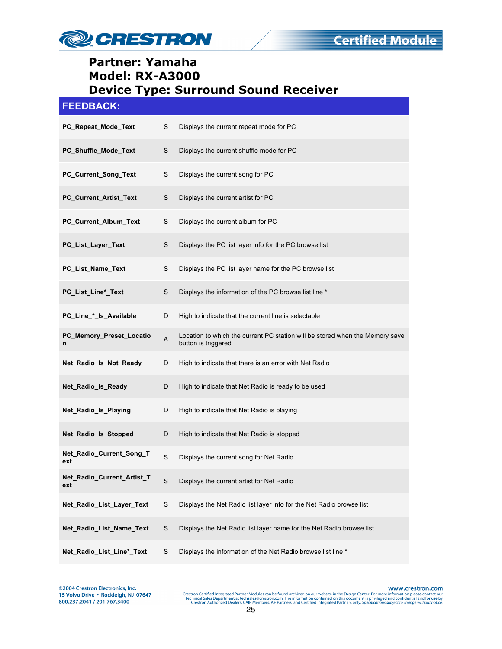

| <b>FEEDBACK:</b>                  |   |                                                                                                     |
|-----------------------------------|---|-----------------------------------------------------------------------------------------------------|
| PC_Repeat_Mode_Text               | S | Displays the current repeat mode for PC                                                             |
| PC_Shuffle_Mode_Text              | S | Displays the current shuffle mode for PC                                                            |
| PC_Current_Song_Text              | S | Displays the current song for PC                                                                    |
| PC_Current_Artist_Text            | S | Displays the current artist for PC                                                                  |
| PC_Current_Album_Text             | S | Displays the current album for PC                                                                   |
| PC_List_Layer_Text                | S | Displays the PC list layer info for the PC browse list                                              |
| PC_List_Name_Text                 | S | Displays the PC list layer name for the PC browse list                                              |
| PC_List_Line*_Text                | S | Displays the information of the PC browse list line *                                               |
| PC Line * Is Available            | D | High to indicate that the current line is selectable                                                |
| PC_Memory_Preset_Locatio<br>n     | A | Location to which the current PC station will be stored when the Memory save<br>button is triggered |
| Net_Radio_Is_Not_Ready            | D | High to indicate that there is an error with Net Radio                                              |
| Net_Radio_Is_Ready                | D | High to indicate that Net Radio is ready to be used                                                 |
| Net_Radio_Is_Playing              | D | High to indicate that Net Radio is playing                                                          |
| Net_Radio_Is_Stopped              | D | High to indicate that Net Radio is stopped                                                          |
| Net_Radio_Current_Song_T<br>ext   | S | Displays the current song for Net Radio                                                             |
| Net_Radio_Current_Artist_T<br>ext | S | Displays the current artist for Net Radio                                                           |
| Net_Radio_List_Layer_Text         | S | Displays the Net Radio list layer info for the Net Radio browse list                                |
| Net_Radio_List_Name_Text          | S | Displays the Net Radio list layer name for the Net Radio browse list                                |
| Net_Radio_List_Line*_Text         | S | Displays the information of the Net Radio browse list line *                                        |

©2004 Crestron Electronics, Inc. 15 Volvo Drive · Rockleigh, NJ 07647 800.237.2041 / 201.767.3400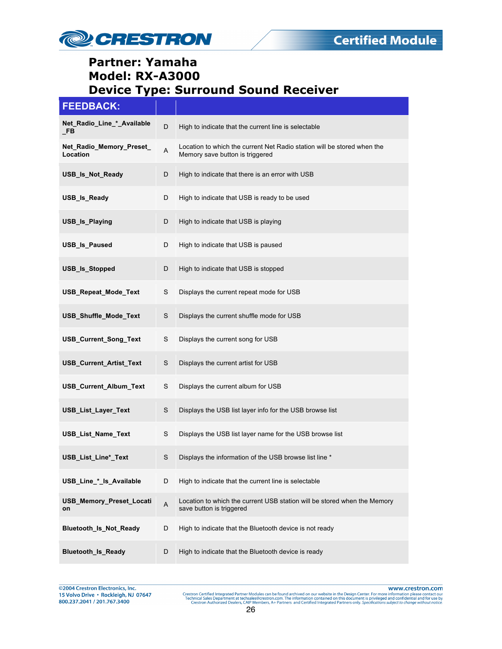

| <b>FEEDBACK:</b> |  |
|------------------|--|
|                  |  |

| Net_Radio_Line_*_Available<br>_FB     | D                         | High to indicate that the current line is selectable                                                       |
|---------------------------------------|---------------------------|------------------------------------------------------------------------------------------------------------|
| Net_Radio_Memory_Preset_<br>Location  | A                         | Location to which the current Net Radio station will be stored when the<br>Memory save button is triggered |
| USB_Is_Not_Ready                      | D                         | High to indicate that there is an error with USB                                                           |
| USB_Is_Ready                          | D                         | High to indicate that USB is ready to be used                                                              |
| USB_Is_Playing                        | D                         | High to indicate that USB is playing                                                                       |
| USB_Is_Paused                         | D                         | High to indicate that USB is paused                                                                        |
| USB_ls_Stopped                        | D                         | High to indicate that USB is stopped                                                                       |
| USB_Repeat_Mode_Text                  | S                         | Displays the current repeat mode for USB                                                                   |
| USB_Shuffle_Mode_Text                 | S                         | Displays the current shuffle mode for USB                                                                  |
| USB_Current_Song_Text                 | S                         | Displays the current song for USB                                                                          |
| <b>USB Current Artist Text</b>        | S                         | Displays the current artist for USB                                                                        |
| USB_Current_Album_Text                | S                         | Displays the current album for USB                                                                         |
| USB_List_Layer_Text                   | S                         | Displays the USB list layer info for the USB browse list                                                   |
| USB_List_Name_Text                    | S                         | Displays the USB list layer name for the USB browse list                                                   |
| <b>USB List Line* Text</b>            | S                         | Displays the information of the USB browse list line *                                                     |
| USB_Line_*_ls_Available               | D                         | High to indicate that the current line is selectable                                                       |
| <b>USB Memory Preset Locati</b><br>on | $\boldsymbol{\mathsf{A}}$ | Location to which the current USB station will be stored when the Memory<br>save button is triggered       |
| <b>Bluetooth Is Not Ready</b>         | D                         | High to indicate that the Bluetooth device is not ready                                                    |
| <b>Bluetooth_Is_Ready</b>             | D                         | High to indicate that the Bluetooth device is ready                                                        |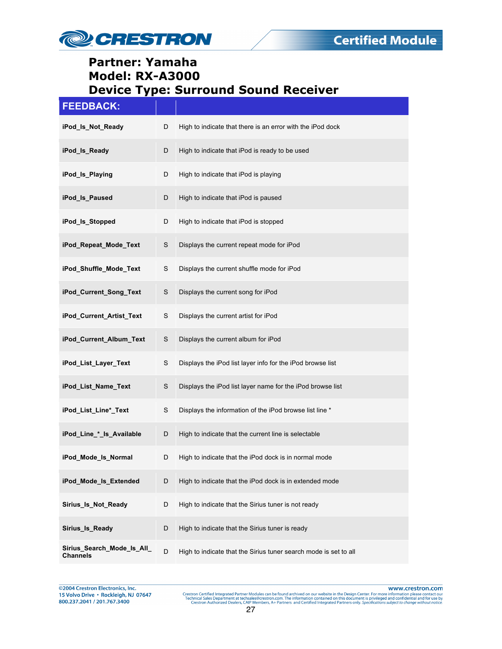

| <b>FEEDBACK:</b>                              |   |                                                                  |
|-----------------------------------------------|---|------------------------------------------------------------------|
| iPod_Is_Not_Ready                             | D | High to indicate that there is an error with the iPod dock       |
| iPod_ls_Ready                                 | D | High to indicate that iPod is ready to be used                   |
| iPod_ls_Playing                               | D | High to indicate that iPod is playing                            |
| iPod_ls_Paused                                | D | High to indicate that iPod is paused                             |
| iPod_ls_Stopped                               | D | High to indicate that iPod is stopped                            |
| iPod_Repeat_Mode_Text                         | S | Displays the current repeat mode for iPod                        |
| iPod_Shuffle_Mode_Text                        | S | Displays the current shuffle mode for iPod                       |
| iPod_Current_Song_Text                        | S | Displays the current song for iPod                               |
| iPod_Current_Artist_Text                      | S | Displays the current artist for iPod                             |
| iPod_Current_Album_Text                       | S | Displays the current album for iPod                              |
| iPod_List_Layer_Text                          | S | Displays the iPod list layer info for the iPod browse list       |
| iPod_List_Name_Text                           | S | Displays the iPod list layer name for the iPod browse list       |
| iPod_List_Line*_Text                          | S | Displays the information of the iPod browse list line *          |
| iPod_Line_*_ls_Available                      | D | High to indicate that the current line is selectable             |
| iPod Mode Is Normal                           | D | High to indicate that the iPod dock is in normal mode            |
| iPod_Mode_Is_Extended                         | D | High to indicate that the iPod dock is in extended mode          |
| Sirius Is Not Ready                           | D | High to indicate that the Sirius tuner is not ready              |
| Sirius_Is_Ready                               | D | High to indicate that the Sirius tuner is ready                  |
| Sirius_Search_Mode_Is_All_<br><b>Channels</b> | D | High to indicate that the Sirius tuner search mode is set to all |

@2004 Crestron Electronics, Inc. 15 Volvo Drive · Rockleigh, NJ 07647 800.237.2041 / 201.767.3400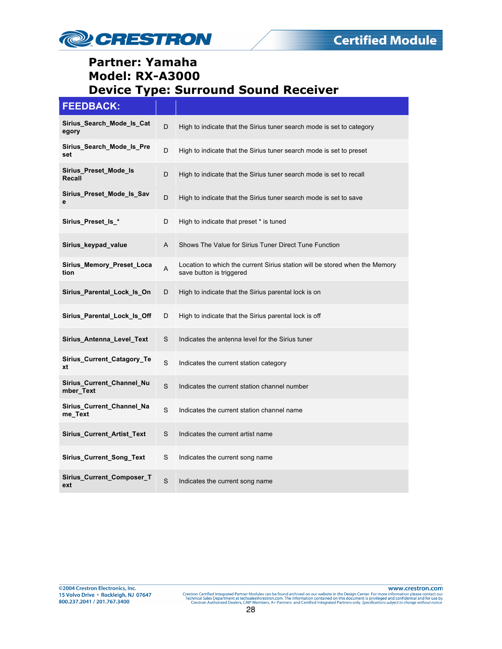

#### **FEEDBACK:**

| Sirius Search Mode Is Cat<br>egory     | D           | High to indicate that the Sirius tuner search mode is set to category                                   |
|----------------------------------------|-------------|---------------------------------------------------------------------------------------------------------|
| Sirius_Search_Mode_Is_Pre<br>set       | D           | High to indicate that the Sirius tuner search mode is set to preset                                     |
| Sirius Preset Mode Is<br>Recall        | D           | High to indicate that the Sirius tuner search mode is set to recall                                     |
| Sirius_Preset_Mode_Is_Sav<br>е         | D           | High to indicate that the Sirius tuner search mode is set to save                                       |
| Sirius_Preset_ls_*                     | D           | High to indicate that preset * is tuned                                                                 |
| Sirius_keypad_value                    | A           | Shows The Value for Sirius Tuner Direct Tune Function                                                   |
| Sirius Memory Preset Loca<br>tion      | Α           | Location to which the current Sirius station will be stored when the Memory<br>save button is triggered |
| Sirius Parental Lock Is On             | D           | High to indicate that the Sirius parental lock is on                                                    |
| Sirius_Parental_Lock_ls_Off            | D           | High to indicate that the Sirius parental lock is off                                                   |
| Sirius_Antenna_Level_Text              | S           | Indicates the antenna level for the Sirius tuner                                                        |
| Sirius_Current_Catagory_Te<br>xt       | S           | Indicates the current station category                                                                  |
| Sirius_Current_Channel_Nu<br>mber Text | S           | Indicates the current station channel number                                                            |
| Sirius_Current_Channel_Na<br>me_Text   | S           | Indicates the current station channel name                                                              |
| Sirius_Current_Artist_Text             | S           | Indicates the current artist name                                                                       |
| Sirius_Current_Song_Text               | S           | Indicates the current song name                                                                         |
| Sirius Current Composer T<br>ext       | $\mathbf S$ | Indicates the current song name                                                                         |